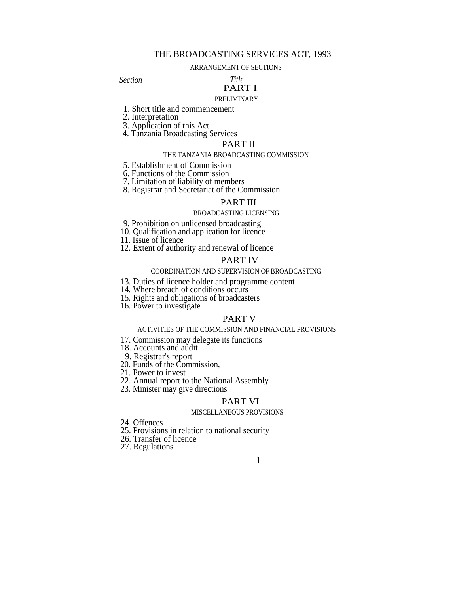## THE BROADCASTING SERVICES ACT, 1993

#### ARRANGEMENT OF SECTIONS

*Section Title*

# PART I

# PRELIMINARY

- 1. Short title and commencement
- 2. Interpretation
- 3. Application of this Act
- 4. Tanzania Broadcasting Services

# PART II

#### THE TANZANIA BROADCASTING COMMISSION

- 5. Establishment of Commission
- 6. Functions of the Commission
- 7. Limitation of liability of members
- 8. Registrar and Secretariat of the Commission

### PART III

#### BROADCASTING LICENSING

- 9. Prohibition on unlicensed broadcasting
- 10. Qualification and application for licence
- 11. Issue of licence
- 12. Extent of authority and renewal of licence

### PART IV

#### COORDINATION AND SUPERVISION OF BROADCASTING

- 13. Duties of licence holder and programme content
- 14. Where breach of conditions occurs
- 15. Rights and obligations of broadcasters
- 16. Power to investigate

#### PART V

#### ACTIVITIES OF THE COMMISSION AND FINANCIAL PROVISIONS

- 17. Commission may delegate its functions
- 18. Accounts and audit
- 19. Registrar's report
- 20. Funds of the Commission,
- 21. Power to invest
- 22. Annual report to the National Assembly
- 23. Minister may give directions

#### PART VI

#### MISCELLANEOUS PROVISIONS

- 24. Offences
- 25. Provisions in relation to national security
- 26. Transfer of licence
- 27. Regulations

#### 1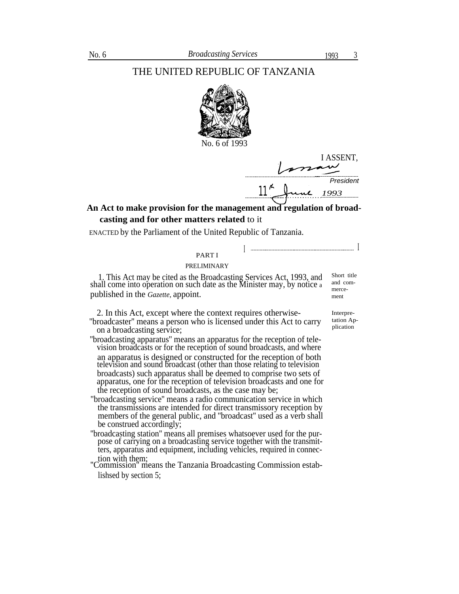# THE UNITED REPUBLIC OF TANZANIA



No. 6 of 1993

I ASSENT, *President* 11 *1993*

I <sup>I</sup>

# **An Act to make provision for the management and regulation of broadcasting and for other matters related** to it

ENACTED by the Parliament of the United Republic of Tanzania.

#### PART I

#### PRELIMINARY

1. This Act may be cited as the Broadcasting Services Act, 1993, and shall come into operation on such date as the Minister may, by notice a published in the *Gazette,* appoint.

2. In this Act, except where the context requires otherwise-<br>proadcaster" means a person who is licensed under this Act to carry tation Ap-

- "broadcaster" means a person who is licensed under this Act to carry tation Ap on a broadcasting service;
- ''broadcasting apparatus'' means an apparatus for the reception of television broadcasts or for the reception of sound broadcasts, and where an apparatus is designed or constructed for the reception of both television and sound broadcast (other than those relating to television broadcasts) such apparatus shall be deemed to comprise two sets of apparatus, one for the reception of television broadcasts and one for the reception of sound broadcasts, as the case may be;
- "broadcasting service'' means a radio communication service in which the transmissions are intended for direct transmissory reception by members of the general public, and ''broadcast'' used as a verb shall be construed accordingly;
- ''broadcasting station'' means all premises whatsoever used for the purpose of carrying on a broadcasting service together with the transmitters, apparatus and equipment, including vehicles, required in connection with them;
- ''Commission'' means the Tanzania Broadcasting Commission establishsed by section 5;

Short title and com-

mercement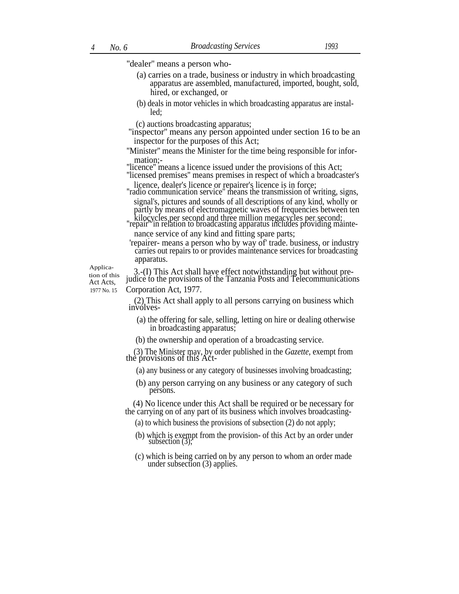"dealer" means a person who-

- (a) carries on a trade, business or industry in which broadcasting apparatus are assembled, manufactured, imported, bought, sold, hired, or exchanged, or
- (b) deals in motor vehicles in which broadcasting apparatus are installed;

(c) auctions broadcasting apparatus;

''inspector'' means any person appointed under section 16 to be an inspector for the purposes of this Act;

''Minister'' means the Minister for the time being responsible for information;-

"licence" means a licence issued under the provisions of this Act;

''licensed premises'' means premises in respect of which a broadcaster's licence, dealer's licence or repairer's licence is in force;

''radio communication service'' means the transmission of writing, signs, signal's, pictures and sounds of all descriptions of any kind, wholly or partly by means of electromagnetic waves of frequencies between ten

kilocycles per second and three million megacycles per second;<br>"repair" in relation to broadcasting apparatus includes providing maintenance service of any kind and fitting spare parts; .

 'repairer- means a person who by way of' trade. business, or industry carries out repairs to or provides maintenance services for broadcasting apparatus.

Application of this Act Acts,

3.-(I) This Act shall have effect notwithstanding but without prejudice to the provisions of the Tanzania Posts and Telecommunications 1977 No. 15 Corporation Act, 1977.

> (2) This Act shall apply to all persons carrying on business which involves-

- (a) the offering for sale, selling, letting on hire or dealing otherwise in broadcasting apparatus;
- (b) the ownership and operation of a broadcasting service.

(3) The Minister may, by order published in the *Gazette,* exempt from the provisions of this Act-

- (a) any business or any category of businesses involving broadcasting;
- (b) any person carrying on any business or any category of such persons.

(4) No licence under this Act shall be required or be necessary for the carrying on of any part of its business which involves broadcasting-

- (a) to which business the provisions of subsection (2) do not apply;
- (b) which is exempt from the provision- of this Act by an order under subsection (3);
- (c) which is being carried on by any person to whom an order made under subsection (3) applies.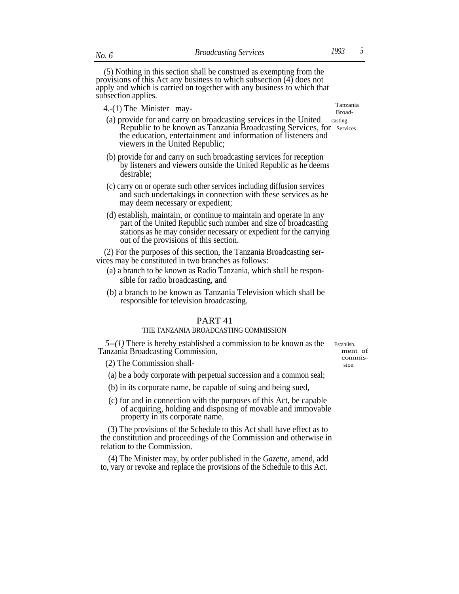(5) Nothing in this section shall be construed as exempting from the provisions of this Act any business to which subsection (4) does not apply and which is carried on together with any business to which that subsection applies.

 $4.-(1)$  The Minister may-<br> $2.5$ 

- (a) provide for and carry on broadcasting services in the United casting Republic to be known as Tanzania Broadcasting Services, for Services the education, entertainment and information of listeners and viewers in the United Republic;
- (b) provide for and carry on such broadcasting services for reception by listeners and viewers outside the United Republic as he deems desirable;
- (c) carry on or operate such other services including diffusion services and such undertakings in connection with these services as he may deem necessary or expedient;
- (d) establish, maintain, or continue to maintain and operate in any part of the United Republic such number and size of broadcasting stations as he may consider necessary or expedient for the carrying out of the provisions of this section.

(2) For the purposes of this section, the Tanzania Broadcasting services may be constituted in two branches as follows:

- (a) a branch to be known as Radio Tanzania, which shall be responsible for radio broadcasting, and
- (b) a branch to be known as Tanzania Television which shall be responsible for television broadcasting.

#### PART 41

#### THE TANZANIA BROADCASTING COMMISSION

*5--(1)* There is hereby established a commission to be known as the Establish. Tanzania Broadcasting Commission, ment of

commis-

(2) The Commission shall-

(a) be a body corporate with perpetual succession and a common seal;

- (b) in its corporate name, be capable of suing and being sued,
- (c) for and in connection with the purposes of this Act, be capable of acquiring, holding and disposing of movable and immovable property in its corporate name.

(3) The provisions of the Schedule to this Act shall have effect as to the constitution and proceedings of the Commission and otherwise in relation to the Commission.

(4) The Minister may, by order published in the *Gazette,* amend, add to, vary or revoke and replace the provisions of the Schedule to this Act.

Broad-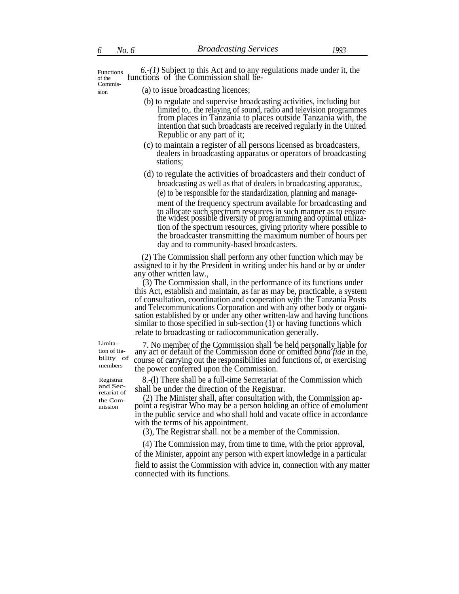Functions *6.-(1)* Subject to this Act and to any regulations made under it, the of the functions of the Commission shall be-Commis-

 $\sin$  (a) to issue broadcasting licences;

- (b) to regulate and supervise broadcasting activities, including but limited to,. the relaying of sound, radio and television programmes from places in Tanzania to places outside Tanzania with, the intention that such broadcasts are received regularly in the United Republic or any part of it;
- (c) to maintain a register of all persons licensed as broadcasters, dealers in broadcasting apparatus or operators of broadcasting stations;
- (d) to regulate the activities of broadcasters and their conduct of broadcasting as well as that of dealers in broadcasting apparatus;, (e) to be responsible for the standardization, planning and manage-

ment of the frequency spectrum available for broadcasting and to allocate such spectrum resources in such manner as to ensure the widest possible diversity of programming and optimal utilization of the spectrum resources, giving priority where possible to the broadcaster transmitting the maximum number of hours per day and to community-based broadcasters.

(2) The Commission shall perform any other function which may be assigned to it by the President in writing under his hand or by or under any other written law.,

(3) The Commission shall, in the performance of its functions under this Act, establish and maintain, as far as may be, practicable, a system and Telecommunications Corporation and with any other body or organisation established by or under any other written-law and having functions similar to those specified in sub-section (1) or having functions which relate to broadcasting or radiocommunication generally.

tion of Iiability of

mission

Limita- 7. No member of the Commission shall 'be held personally liable for any act or default of the Commission done or omitted *bona fide* in the, course of carrying out the responsibilities and functions of, or exercising members the power conferred upon the Commission.

Registrar 8.-(l) There shall be a full-time Secretariat of the Commission which

and Sec-<br>retariat of shall be under the direction of the Registrar.<br>the Commission approximate Commission approximate  $(2)$  The Minister shall, after consultation with, the Commission approximate  $\mu_{\text{the Com-}}$  (2) The Minister shall, after consultation with, the Commission ap-<br>mission point a registrar Who may be a person holding an office of emolument in the public service and who shall hold and vacate office in accordance with the terms of his appointment.

(3), The Registrar shall. not be a member of the Commission.

(4) The Commission may, from time to time, with the prior approval, of the Minister, appoint any person with expert knowledge in a particular field to assist the Commission with advice in, connection with any matter connected with its functions.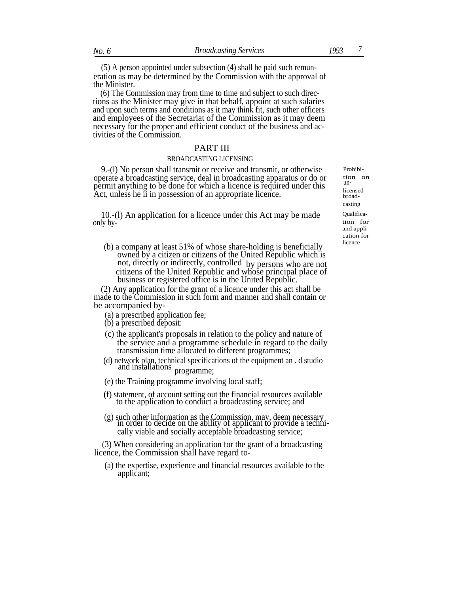(5) A person appointed under subsection (4) shall be paid such remuneration as may be determined by the Commission with the approval of the Minister.

(6) The Commission may from time to time and subject to such directions as the Minister may give in that behalf, appoint at such salaries and upon such terms and conditions as it may think fit, such other officers and employees of the Secretariat of the Commission as it may deem necessary for the proper and efficient conduct of the business and activities of the Commission.

#### PART III

#### BROADCASTING LICENSING

9.-(l) No person shall transmit or receive and transmit, or otherwise operate a broadcasting service, deal in broadcasting apparatus or do or permit anything to be done for which a licence is required under this Act, unless he ii in possession of an appropriate licence.

10.-(l) An application for a licence under this Act may be made only by-

 $\lambda$  (b) a company at least 51% of whose share-holding is beneficially owned by a citizen or citizens of the United Republic which is not, directly or indirectly, controlled by persons who are not citizens of the United Republic and whose principal place of business or registered office is in the United Republic.

(2) Any application for the grant of a licence under this act shall be made to the Commission in such form and manner and shall contain or be accompanied by-

- (a) a prescribed application fee;
- (b) a prescribed deposit:
- (c) the applicant's proposals in relation to the policy and nature of the service and a programme schedule in regard to the daily transmission time allocated to different programmes;
- (d) network plan, technical specifications of the equipment an . d studio and installations programme;
- (e) the Training programme involving local staff;
- (f) statement, of account setting out the financial resources available to the application to conduct a broadcasting service; and
- (g) such other information as the Commission, may, deem necessary in order to decide on the ability of applicant to provide a technically viable and socially acceptable broadcasting service;

(3) When considering an application for the grant of a broadcasting licence, the Commission shall have regard to-

(a) the expertise, experience and financial resources available to the applicant;

Prohibition on unlicensed broadcasting Qualification for and application for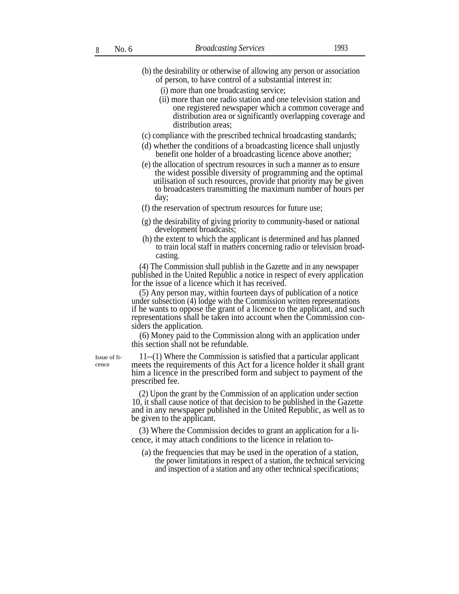- (b) the desirability or otherwise of allowing any person or association of person, to have control of a substantial interest in:
	- (i) more than one broadcasting service;
	- (ii) more than one radio station and one television station and one registered newspaper which a common coverage and distribution area or significantly overlapping coverage and distribution areas;
- (c) compliance with the prescribed technical broadcasting standards;
- (d) whether the conditions of a broadcasting licence shall unjustly benefit one holder of a broadcasting licence above another;
- (e) the allocation of spectrum resources in such a manner as to ensure the widest possible diversity of programming and the optimal utilisation of such resources, provide that priority may be given to broadcasters transmitting the maximum number of hours per day;
- (f) the reservation of spectrum resources for future use;
- (g) the desirability of giving priority to community-based or national development broadcasts;
- (h) the extent to which the applicant is determined and has planned to train local staff in matters concerning radio or television broadcasting.

(4) The Commission shall publish in the Gazette and in any newspaper published in the United Republic a notice in respect of every application for the issue of a licence which it has received.

(5) Any person may, within fourteen days of publication of a notice under subsection (4) lodge with the Commission written representations if he wants to oppose the grant of a licence to the applicant, and such representations shall be taken into account when the Commission considers the application.

(6) Money paid to the Commission along with an application under this section shall not be refundable.

Issue of ficence

11--(1) Where the Commission is satisfied that a particular applicant meets the requirements of this Act for a licence holder it shall grant him a licence in the prescribed form and subject to payment of the prescribed fee.

(2) Upon the grant by the Commission of an application under section 10, it shall cause notice of that decision to be published in the Gazette and in any newspaper published in the United Republic, as well as to be given to the applicant.

(3) Where the Commission decides to grant an application for a licence, it may attach conditions to the licence in relation to-

(a) the frequencies that may be used in the operation of a station, the power limitations in respect of a station, the technical servicing and inspection of a station and any other technical specifications;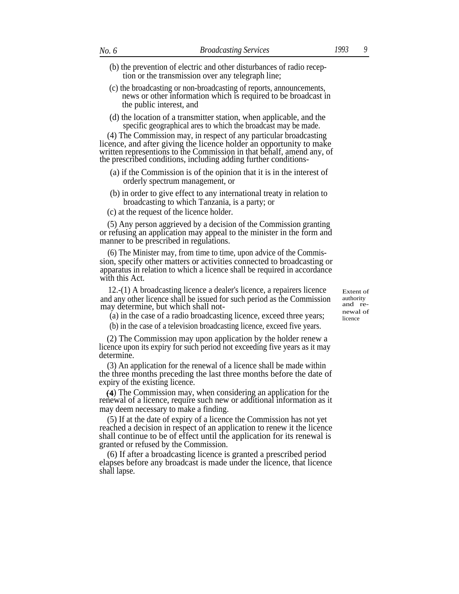- (c) the broadcasting or non-broadcasting of reports, announcements, news or other information which is required to be broadcast in the public interest, and
- (d) the location of a transmitter station, when applicable, and the specific geographical ares to which the broadcast may be made.

(4) The Commission may, in respect of any particular broadcasting licence, and after giving the licence holder an opportunity to make written representions to the Commission in that behalf, amend any, of the prescribed conditions, including adding further conditions-

- (a) if the Commission is of the opinion that it is in the interest of orderly spectrum management, or
- (b) in order to give effect to any international treaty in relation to broadcasting to which Tanzania, is a party; or
- (c) at the request of the licence holder.

(5) Any person aggrieved by a decision of the Commission granting or refusing an application may appeal to the minister in the form and manner to be prescribed in regulations.

(6) The Minister may, from time to time, upon advice of the Commission, specify other matters or activities connected to broadcasting or apparatus in relation to which a licence shall be required in accordance with this Act.

12.-(1) A broadcasting licence a dealer's licence, a repairers licence and any other licence shall be issued for such period as the Commission may determine, but which shall not-<br>newal of<br>newal of

(a) in the case of a radio broadcasting licence, exceed three years;

(b) in the case of a television broadcasting licence, exceed five years.

(2) The Commission may upon application by the holder renew a licence upon its expiry for such period not exceeding five years as it may determine.

(3) An application for the renewal of a licence shall be made within the three months preceding the last three months before the date of expiry of the existing licence.

) The Commission may, when considering an application for the renewal of a licence, require such new or additional information as it may deem necessary to make a finding.

(5) If at the date of expiry of a licence the Commission has not yet reached a decision in respect of an application to renew it the licence shall continue to be of effect until the application for its renewal is granted or refused by the Commission.

(6) If after a broadcasting licence is granted a prescribed period elapses before any broadcast is made under the licence, that licence shall lapse.

Extent of authority<br>and relicence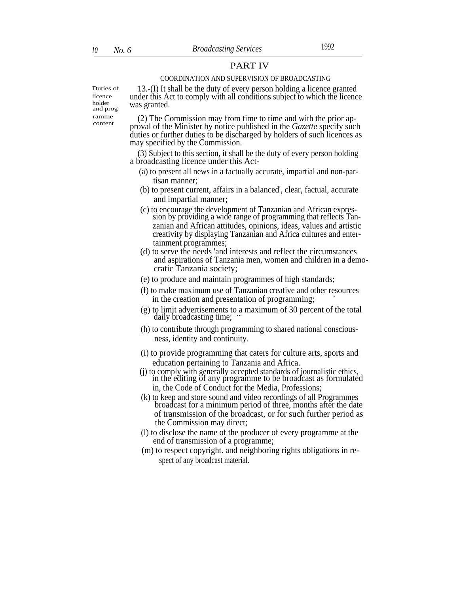# PART IV

#### COORDINATION AND SUPERVISION OF BROADCASTING

Duties of licence holder and prog ramme content

13.-(I) It shall be the duty of every person holding a licence granted under this Act to comply with all conditions subject to which the licence was granted.

(2) The Commission may from time to time and with the prior approval of the Minister by notice published in the *Gazette* specify such duties or further duties to be discharged by holders of such licences as may specified by the Commission.

(3) Subject to this section, it shall be the duty of every person holding a broadcasting licence under this Act-

- (a) to present all news in a factually accurate, impartial and non-partisan manner;
- (b) to present current, affairs in a balanced', clear, factual, accurate and impartial manner;
- (c) to encourage the development of Tanzanian and African expression by providing a wide range of programming that reflects Tanzanian and African attitudes, opinions, ideas, values and artistic creativity by displaying Tanzanian and Africa cultures and entertainment programmes;
- (d) to serve the needs 'and interests and reflect the circumstances and aspirations of Tanzania men, women and children in a democratic Tanzania society;
- (e) to produce and maintain programmes of high standards;
- (f) to make maximum use of Tanzanian creative and other resources in the creation and presentation of programming;
- (g) to limit advertisements to a maximum of 30 percent of the total daily broadcasting time;
- (h) to contribute through programming to shared national consciousness, identity and continuity.
- (i) to provide programming that caters for culture arts, sports and education pertaining to Tanzania and Africa.
- (j) to comply with generally accepted standards of journalistic ethics, in the editing of any programme to be broadcast as formulated in, the Code of Conduct for the Media, Professions;
- (k) to keep and store sound and video recordings of all Programmes broadcast for a minimum period of three, months after the date of transmission of the broadcast, or for such further period as the Commission may direct;
- (l) to disclose the name of the producer of every programme at the end of transmission of a programme;
- (m) to respect copyright. and neighboring rights obligations in respect of any broadcast material.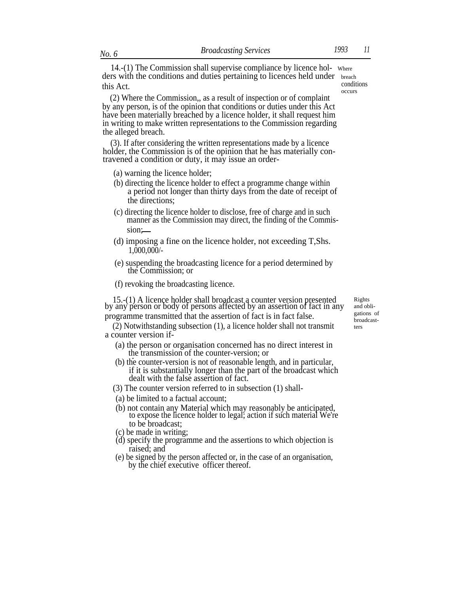14.-(1) The Commission shall supervise compliance by licence hol- Where ders with the conditions and duties pertaining to licences held under breach<br>this Act conditions this Act. occurs

(2) Where the Commission,, as a result of inspection or of complaint by any person, is of the opinion that conditions or duties under this Act have been materially breached by a licence holder, it shall request him in writing to make written representations to the Commission regarding the alleged breach.

(3). If after considering the written representations made by a licence holder, the Commission is of the opinion that he has materially contravened a condition or duty, it may issue an order-

- (a) warning the licence holder;
- (b) directing the licence holder to effect a programme change within a period not longer than thirty days from the date of receipt of the directions;
- (c) directing the licence holder to disclose, free of charge and in such manner as the Commission may direct, the finding of the Commission;
- (d) imposing a fine on the licence holder, not exceeding T,Shs. 1,000,000/-
- (e) suspending the broadcasting licence for a period determined by the Commission; or
- (f) revoking the broadcasting licence.

15.-(1) A licence holder shall broadcast a counter version presented by any person or body of persons affected by an assertion of fact in any programme transmitted that the assertion of fact is in fact false.

(2) Notwithstanding subsection (1), a licence holder shall not transmit a counter version if-

- (a) the person or organisation concerned has no direct interest in the transmission of the counter-version; or
- (b) the counter-version is not of reasonable length, and in particular, if it is substantially longer than the part of the broadcast which dealt with the false assertion of fact.
- (3) The counter version referred to in subsection (1) shall-
- (a) be limited to a factual account;
- (b) not contain any Material which may reasonably be anticipated, to expose the licence holder to legal; action if such material We're to be broadcast;
- (c) be made in writing;
- (d) specify the programme and the assertions to which objection is raised; and
- (e) be signed by the person affected or, in the case of an organisation, by the chief executive officer thereof.

Rights and obligations of broadcastters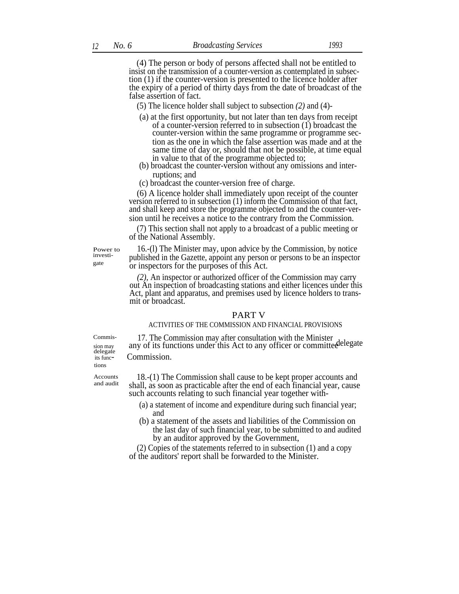(4) The person or body of persons affected shall not be entitled to insist on the transmission of a counter-version as contemplated in subsection (1) if the counter-version is presented to the licence holder after the expiry of a period of thirty days from the date of broadcast of the false assertion of fact.

- (5) The licence holder shall subject to subsection *(2)* and (4)-
- (a) at the first opportunity, but not later than ten days from receipt of a counter-version referred to in subsection (1) broadcast the counter-version within the same programme or programme section as the one in which the false assertion was made and at the same time of day or, should that not be possible, at time equal in value to that of the programme objected to;
- (b) broadcast the counter-version without any omissions and interruptions; and
- (c) broadcast the counter-version free of charge.

(6) A licence holder shall immediately upon receipt of the counter version referred to in subsection (1) inform the Commission of that fact, and shall keep and store the programme objected to and the counter-version until he receives a notice to the contrary from the Commission.

(7) This section shall not apply to a broadcast of a public meeting or of the National Assembly.

Power to investigate

16.-(l) The Minister may, upon advice by the Commission, by notice published in the Gazette, appoint any person or persons to be an inspector or inspectors for the purposes of this Act.

*(2),* An inspector or authorized officer of the Commission may carry out An inspection of broadcasting stations and either licences under this Act, plant and apparatus, and premises used by licence holders to transmit or broadcast.

#### PART V

#### ACTIVITIES OF THE COMMISSION AND FINANCIAL PROVISIONS

 $\begin{array}{ll}\n\text{Commis} & 17. \text{ The Commission may after consultation with the Minister any of its functions under this Act to any officer or committee} \n\end{array}$ delegate<br>its functions

Commission.

Accounts and audit

18.-(1) The Commission shall cause to be kept proper accounts and shall, as soon as practicable after the end of each financial year, cause such accounts relating to such financial year together with-

- (a) a statement of income and expenditure during such financial year; and
- (b) a statement of the assets and liabilities of the Commission on the last day of such financial year, to be submitted to and audited by an auditor approved by the Government,

(2) Copies of the statements referred to in subsection (1) and a copy of the auditors' report shall be forwarded to the Minister.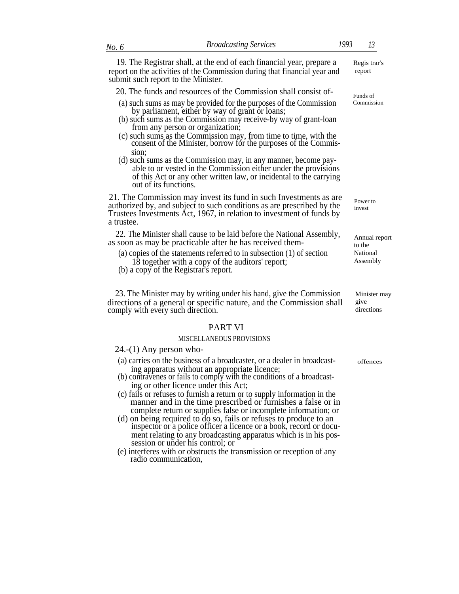19. The Registrar shall, at the end of each financial year, prepare a Regis trar's report on the activities of the Commission during that financial year and report submit such report to the Minister.

#### 20. The funds and resources of the Commission shall consist of-

- (a) such sums as may be provided for the purposes of the Commission by parliament, either by way of grant or loans;
- (b) such sums as the Commission may receive-by way of grant-loan from any person or organization;
- (c) such sums as the Commission may, from time to time, with the consent of the Minister, borrow for the purposes of the Commission;
- (d) such sums as the Commission may, in any manner, become payable to or vested in the Commission either under the provisions of this Act or any other written law, or incidental to the carrying out of its functions.

21. The Commission may invest its fund in such Investments as are authorized by, and subject to such conditions as are prescribed by the Trustees Investments Act, 1967, in relation to investment of funds by a trustee.

22. The Minister shall cause to be laid before the National Assembly, 22. The Minister shan cause to be faid before the National Assembly,  $A_{nnual}$  report as soon as may be practicable after he has received them-

- (a) copies of the statements referred to in subsection (1) of section 18 together with a copy of the auditors' report;
- (b) a copy of the Registrar's report.

23. The Minister [may by](http://may,.by) writing under his hand, give the Commission directions of a general or specific nature, and the Commission shall comply with every such direction. directions directions

#### PART VI

#### MISCELLANEOUS PROVISIONS

24.-(1) Any person who-

- (a) carries on the business of a broadcaster, or a dealer in broadcast- offences ing apparatus without an appropriate licence;
- (b) contravenes or fails to comply with the conditions of a broadcasting or other licence under this Act;
- (c) fails or refuses to furnish a return or to supply information in the manner and in the time prescribed or furnishes a false or in complete return or supplies false or incomplete information; or
- (d) on being required to do so, fails or refuses to produce to an inspector or a police officer a licence or a book, record or document relating to any broadcasting apparatus which is in his possession or under his control; or
- (e) interferes with or obstructs the transmission or reception of any radio communication,

Funds of Commission

Power to invest

to the National Assembly

Minister may give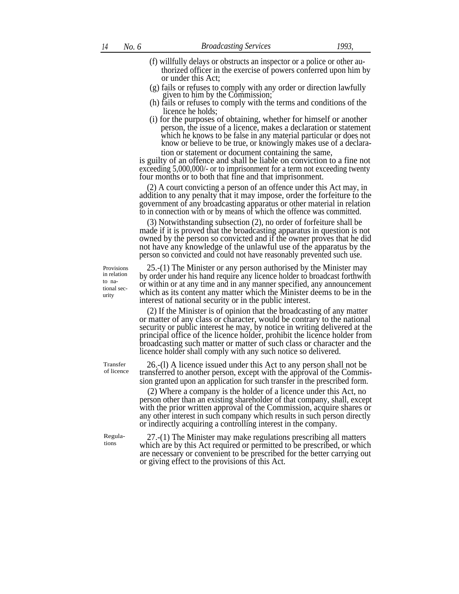- (f) willfully delays or obstructs an inspector or a police or other authorized officer in the exercise of powers conferred upon him by or under this Act;
- (g) fails or refuses to comply with any order or direction lawfully given to him by the Commission;
- (h) fails or refuses to comply with the terms and conditions of the licence he holds;
- (i) for the purposes of obtaining, whether for himself or another person, the issue of a licence, makes a declaration or statement which he knows to be false in any material particular or does not know or believe to be true, or knowingly makes use of a declaration or statement or document containing the same,

is guilty of an offence and shall be liable on conviction to a fine not exceeding 5,000,000/- or to imprisonment for a term not exceeding twenty four months or to both that fine and that imprisonment.

(2) A court convicting a person of an offence under this Act may, in addition to any penalty that it may impose, order the forfeiture to the government of any broadcasting apparatus or other material in relation to in connection with or by means of which the offence was committed.

(3) Notwithstanding subsection (2), no order of forfeiture shall be made if it is proved that the broadcasting apparatus in question is not owned by the person so convicted and if the owner proves that he did not have any knowledge of the unlawful use of the apparatus by the person so convicted and could not have reasonably prevented such use.

25.-(1) The Minister or any person authorised by the Minister may by order under his hand require any licence holder to broadcast forthwith or within or at any time and in any manner specified, any announcement which as its content any matter which the Minister deems to be in the interest of national security or in the public interest.

(2) If the Minister is of opinion that the broadcasting of any matter or matter of any class or character, would be contrary to the national security or public interest he may, by notice in writing delivered at the principal office of the licence holder, prohibit the licence holder from broadcasting such matter or matter of such class or character and the licence holder shall comply with any such notice so delivered.

26.-(l) A licence issued under this Act to any person shall not be transferred to another person, except with the approval of the Commission granted upon an application for such transfer in the prescribed form.

(2) Where a company is the holder of a licence under this Act, no person other than an existing shareholder of that company, shall, except with the prior written approval of the Commission, acquire shares or any other interest in such company which results in such person directly or indirectly acquiring a controlling interest in the company.

27.-(1) The Minister may make regulations prescribing all matters which are by this Act required or permitted to be prescribed, or which are necessary or convenient to be prescribed for the better carrying out or giving effect to the provisions of this Act.

Provisions in relation to national security

Regulations

Transfer of licence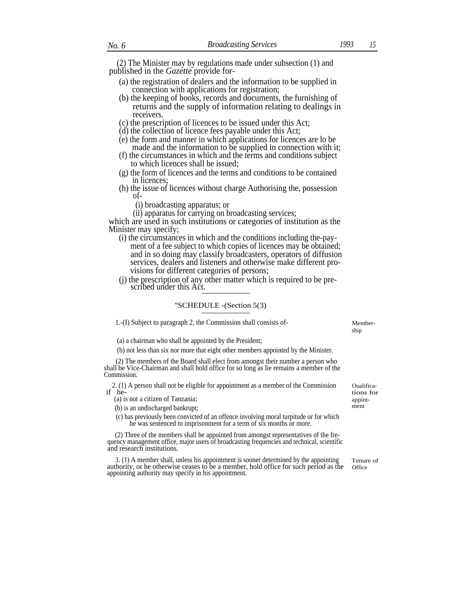(2) The Minister may by regulations made under subsection (1) and published in the *Gazette* provide for-

- (a) the registration of dealers and the information to be supplied in connection with applications for registration;
- (b) the keeping of books, records and documents, the furnishing of returns and the supply of information relating to dealings in receivers.
- (c) the prescription of licences to be issued under this Act;
- (d) the collection of licence fees payable under this Act;
- (e) the form and manner in which applications for licences are lo be made and the information to be supplied in connection with it;
- (f) the circumstances in which and the terms and conditions subject to which licences shall be issued;
- (g) the form of licences and the terms and conditions to be contained in licences;
- (h) the issue of licences without charge Authorising the, possession of-
	- (i) broadcasting apparatus; or
	- (ii) apparatus for carrying on broadcasting services;

which are used in such institutions or categories of institution as the Minister may specify;

- (i) the circumstances in which and the conditions including the-payment of a fee subject to which copies of licences may be obtained; and in so doing may classify broadcasters, operators of diffusion services, dealers and listeners and otherwise make different provisions for different categories of persons;
- (j) the prescription of any other matter which is required to be prescribed under this Act.

#### ''SCHEDULE -(Section 5(3)

1.-(I) Subject to paragraph 2, the Commission shall consists of- Member-

(a) a chairman who shall be appointed by the President;

(b) not less than six nor more that eight other members appointed by the Minister.

(2) The members of the Board shall elect from amongst their number a person who shall be Vice-Chairman and shall hold office for so long as lie remains a member of the Commission.

2. (1) A person shall not be eligible for appointment as a member of the Commission Cualifica-<br>if he-<br>tions for if  $he$ - tions for

(a) is not a citizen of Tanzania;<br>
(b) is an undischarged bankwart.

(b) is an undischarged bankrupt;

(c) has previously been convicted of an offence involving moral turpitude or for which he was sentenced to imprisonment for a term of six months or more.

(2) Three of the members shall be appointed from amongst representatives of the frequency management office, major users of broadcasting frequencies and technical, scientific and research institutions.

3. (1) A member shall, unless his appointment is sooner determined by the appointing authority, or he otherwise ceases to be a member, hold office for such period as the appointing authority may specify in his appointment.

ship

Tenure of **Office**